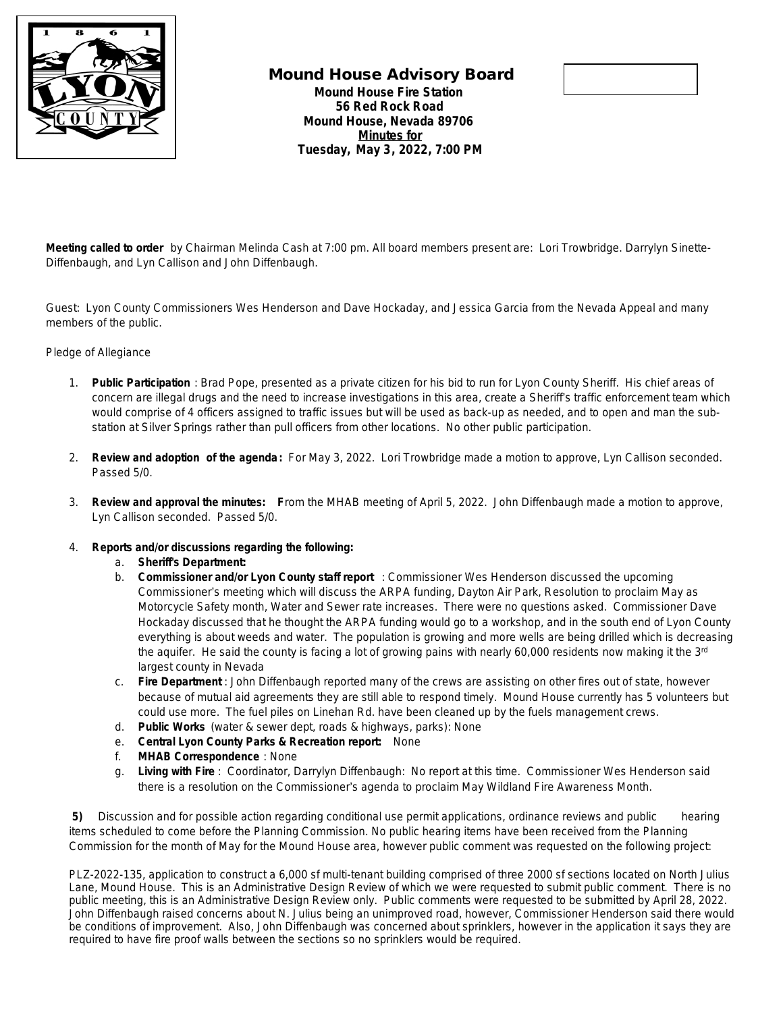

## **Mound House Advisory Board Mound House Fire Station 56 Red Rock Road Mound House, Nevada 89706 Minutes for Tuesday, May 3, 2022, 7:00 PM**



**Meeting called to order** by Chairman Melinda Cash at 7:00 pm. All board members present are: Lori Trowbridge. Darrylyn Sinette-Diffenbaugh, and Lyn Callison and John Diffenbaugh.

Guest: Lyon County Commissioners Wes Henderson and Dave Hockaday, and Jessica Garcia from the Nevada Appeal and many members of the public.

## Pledge of Allegiance

- 1. **Public Participation** : Brad Pope, presented as a private citizen for his bid to run for Lyon County Sheriff. His chief areas of concern are illegal drugs and the need to increase investigations in this area, create a Sheriff's traffic enforcement team which would comprise of 4 officers assigned to traffic issues but will be used as back-up as needed, and to open and man the substation at Silver Springs rather than pull officers from other locations. No other public participation.
- 2. **Review and adoption of the agenda:** For May 3, 2022. Lori Trowbridge made a motion to approve, Lyn Callison seconded. Passed 5/0.
- 3. **Review and approval the minutes: F**rom the MHAB meeting of April 5, 2022. John Diffenbaugh made a motion to approve, Lyn Callison seconded. Passed 5/0.
- 4. **Reports and/or discussions regarding the following:**
	- a. **Sheriff's Department:**
	- b. **Commissioner and/or Lyon County staff report** : Commissioner Wes Henderson discussed the upcoming Commissioner's meeting which will discuss the ARPA funding, Dayton Air Park, Resolution to proclaim May as Motorcycle Safety month, Water and Sewer rate increases. There were no questions asked. Commissioner Dave Hockaday discussed that he thought the ARPA funding would go to a workshop, and in the south end of Lyon County everything is about weeds and water. The population is growing and more wells are being drilled which is decreasing the aquifer. He said the county is facing a lot of growing pains with nearly 60,000 residents now making it the 3rd largest county in Nevada
	- c. **Fire Department** : John Diffenbaugh reported many of the crews are assisting on other fires out of state, however because of mutual aid agreements they are still able to respond timely. Mound House currently has 5 volunteers but could use more. The fuel piles on Linehan Rd. have been cleaned up by the fuels management crews.
	- d. **Public Works** (water & sewer dept, roads & highways, parks): None
	- e. **Central Lyon County Parks & Recreation report:** None
	- f. **MHAB Correspondence** : None
	- g. **Living with Fire** : Coordinator, Darrylyn Diffenbaugh: No report at this time. Commissioner Wes Henderson said there is a resolution on the Commissioner's agenda to proclaim May Wildland Fire Awareness Month.

**5)** Discussion and for possible action regarding conditional use permit applications, ordinance reviews and public hearing items scheduled to come before the Planning Commission. No public hearing items have been received from the Planning Commission for the month of May for the Mound House area, however public comment was requested on the following project:

PLZ-2022-135, application to construct a 6,000 sf multi-tenant building comprised of three 2000 sf sections located on North Julius Lane, Mound House. This is an Administrative Design Review of which we were requested to submit public comment. There is no public meeting, this is an Administrative Design Review only. Public comments were requested to be submitted by April 28, 2022. John Diffenbaugh raised concerns about N. Julius being an unimproved road, however, Commissioner Henderson said there would be conditions of improvement. Also, John Diffenbaugh was concerned about sprinklers, however in the application it says they are required to have fire proof walls between the sections so no sprinklers would be required.